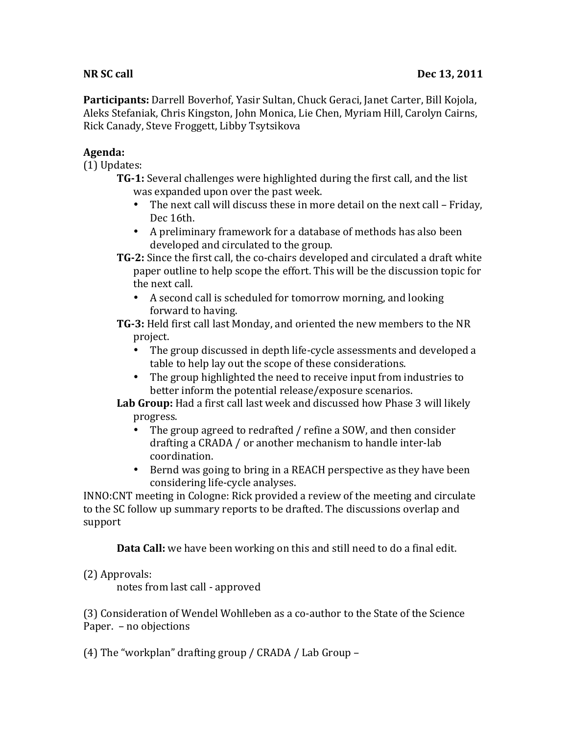**Participants:** Darrell Boverhof, Yasir Sultan, Chuck Geraci, Janet Carter, Bill Kojola, Aleks Stefaniak, Chris Kingston, John Monica, Lie Chen, Myriam Hill, Carolyn Cairns, Rick Canady, Steve Froggett, Libby Tsytsikova

## **Agenda:**

 $(1)$  Updates:

- **TG-1:** Several challenges were highlighted during the first call, and the list was expanded upon over the past week.
	- The next call will discuss these in more detail on the next call Friday, Dec 16th.
	- A preliminary framework for a database of methods has also been developed and circulated to the group.
- **TG-2:** Since the first call, the co-chairs developed and circulated a draft white paper outline to help scope the effort. This will be the discussion topic for the next call.
	- A second call is scheduled for tomorrow morning, and looking forward to having.

**TG-3:** Held first call last Monday, and oriented the new members to the NR project. 

- The group discussed in depth life-cycle assessments and developed a table to help lay out the scope of these considerations.
- The group highlighted the need to receive input from industries to better inform the potential release/exposure scenarios.

**Lab Group:** Had a first call last week and discussed how Phase 3 will likely progress. 

- The group agreed to redrafted / refine a SOW, and then consider drafting a CRADA / or another mechanism to handle inter-lab coordination.
- Bernd was going to bring in a REACH perspective as they have been considering life-cycle analyses.

INNO:CNT meeting in Cologne: Rick provided a review of the meeting and circulate to the SC follow up summary reports to be drafted. The discussions overlap and support 

**Data Call:** we have been working on this and still need to do a final edit.

## (2) Approvals:

notes from last call - approved

(3) Consideration of Wendel Wohlleben as a co-author to the State of the Science Paper. - no objections

(4) The "workplan" drafting group / CRADA / Lab Group –